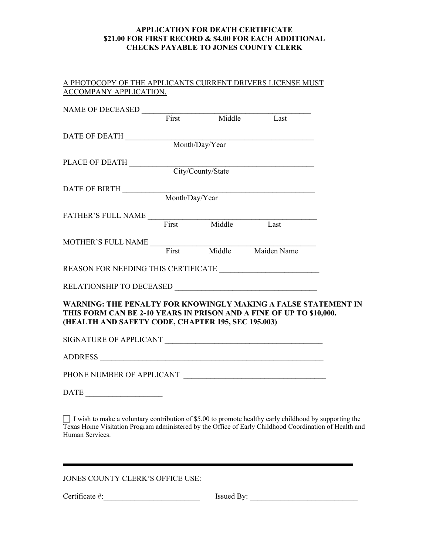## **APPLICATION FOR DEATH CERTIFICATE \$21.00 FOR FIRST RECORD & \$4.00 FOR EACH ADDITIONAL CHECKS PAYABLE TO JONES COUNTY CLERK**

| A PHOTOCOPY OF THE APPLICANTS CURRENT DRIVERS LICENSE MUST |  |
|------------------------------------------------------------|--|
| ACCOMPANY APPLICATION.                                     |  |

| NAME OF DECEASED<br>First Middle Last                                                                                                                                                       |                   |  |
|---------------------------------------------------------------------------------------------------------------------------------------------------------------------------------------------|-------------------|--|
| $\begin{array}{c} \textbf{DATE OF DEATH} \; \underline{\hspace{1.5cm}} \textbf{Month/Day/Year} \end{array}$                                                                                 |                   |  |
|                                                                                                                                                                                             |                   |  |
|                                                                                                                                                                                             |                   |  |
|                                                                                                                                                                                             | City/County/State |  |
| DATE OF BIRTH Month/Day/Year                                                                                                                                                                |                   |  |
|                                                                                                                                                                                             |                   |  |
| FATHER'S FULL NAME First Middle Last                                                                                                                                                        |                   |  |
|                                                                                                                                                                                             |                   |  |
|                                                                                                                                                                                             |                   |  |
| MOTHER'S FULL NAME<br>First Middle Maiden Name                                                                                                                                              |                   |  |
|                                                                                                                                                                                             |                   |  |
|                                                                                                                                                                                             |                   |  |
| WARNING: THE PENALTY FOR KNOWINGLY MAKING A FALSE STATEMENT IN<br>THIS FORM CAN BE 2-10 YEARS IN PRISON AND A FINE OF UP TO \$10,000.<br>(HEALTH AND SAFETY CODE, CHAPTER 195, SEC 195.003) |                   |  |
|                                                                                                                                                                                             |                   |  |
|                                                                                                                                                                                             |                   |  |
|                                                                                                                                                                                             |                   |  |
| <b>DATE</b>                                                                                                                                                                                 |                   |  |

 I wish to make a voluntary contribution of \$5.00 to promote healthy early childhood by supporting the Texas Home Visitation Program administered by the Office of Early Childhood Coordination of Health and Human Services.

JONES COUNTY CLERK'S OFFICE USE:

Certificate #:\_\_\_\_\_\_\_\_\_\_\_\_\_\_\_\_\_\_\_\_\_\_\_\_\_ Issued By: \_\_\_\_\_\_\_\_\_\_\_\_\_\_\_\_\_\_\_\_\_\_\_\_\_\_\_\_